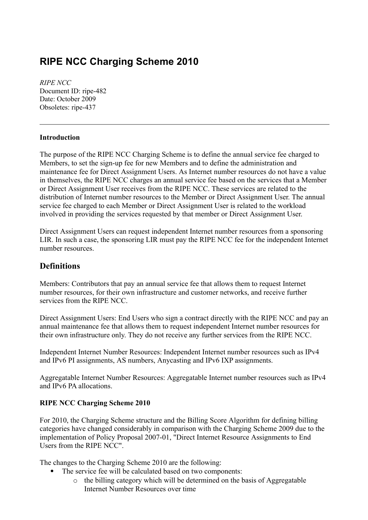# **RIPE NCC Charging Scheme 2010**

*RIPE NCC* Document ID: ripe-482 Date: October 2009 Obsoletes: ripe-437

## **Introduction**

The purpose of the RIPE NCC Charging Scheme is to define the annual service fee charged to Members, to set the sign-up fee for new Members and to define the administration and maintenance fee for Direct Assignment Users. As Internet number resources do not have a value in themselves, the RIPE NCC charges an annual service fee based on the services that a Member or Direct Assignment User receives from the RIPE NCC. These services are related to the distribution of Internet number resources to the Member or Direct Assignment User. The annual service fee charged to each Member or Direct Assignment User is related to the workload involved in providing the services requested by that member or Direct Assignment User.

Direct Assignment Users can request independent Internet number resources from a sponsoring LIR. In such a case, the sponsoring LIR must pay the RIPE NCC fee for the independent Internet number resources.

## **Definitions**

Members: Contributors that pay an annual service fee that allows them to request Internet number resources, for their own infrastructure and customer networks, and receive further services from the RIPE NCC.

Direct Assignment Users: End Users who sign a contract directly with the RIPE NCC and pay an annual maintenance fee that allows them to request independent Internet number resources for their own infrastructure only. They do not receive any further services from the RIPE NCC.

Independent Internet Number Resources: Independent Internet number resources such as IPv4 and IPv6 PI assignments, AS numbers, Anycasting and IPv6 IXP assignments.

Aggregatable Internet Number Resources: Aggregatable Internet number resources such as IPv4 and IPv6 PA allocations.

## **RIPE NCC Charging Scheme 2010**

For 2010, the Charging Scheme structure and the Billing Score Algorithm for defining billing categories have changed considerably in comparison with the Charging Scheme 2009 due to the implementation of Policy Proposal 2007-01, "Direct Internet Resource Assignments to End Users from the RIPE NCC".

The changes to the Charging Scheme 2010 are the following:

- The service fee will be calculated based on two components:
	- o the billing category which will be determined on the basis of Aggregatable Internet Number Resources over time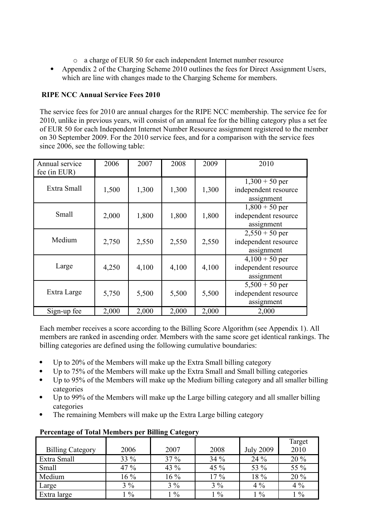- o a charge of EUR 50 for each independent Internet number resource
- Appendix 2 of the Charging Scheme 2010 outlines the fees for Direct Assignment Users, which are line with changes made to the Charging Scheme for members.

## **RIPE NCC Annual Service Fees 2010**

The service fees for 2010 are annual charges for the RIPE NCC membership. The service fee for 2010, unlike in previous years, will consist of an annual fee for the billing category plus a set fee of EUR 50 for each Independent Internet Number Resource assignment registered to the member on 30 September 2009. For the 2010 service fees, and for a comparison with the service fees since 2006, see the following table:

| Annual service<br>fee (in EUR) | 2006  | 2007  | 2008  | 2009  | 2010                                                   |
|--------------------------------|-------|-------|-------|-------|--------------------------------------------------------|
| Extra Small                    | 1,500 | 1,300 | 1,300 | 1,300 | $1,300 + 50$ per<br>independent resource<br>assignment |
| Small                          | 2,000 | 1,800 | 1,800 | 1,800 | $1,800 + 50$ per<br>independent resource<br>assignment |
| Medium                         | 2,750 | 2,550 | 2,550 | 2,550 | $2,550 + 50$ per<br>independent resource<br>assignment |
| Large                          | 4,250 | 4,100 | 4,100 | 4,100 | $4,100 + 50$ per<br>independent resource<br>assignment |
| Extra Large                    | 5,750 | 5,500 | 5,500 | 5,500 | $5,500 + 50$ per<br>independent resource<br>assignment |
| Sign-up fee                    | 2,000 | 2,000 | 2,000 | 2,000 | 2,000                                                  |

Each member receives a score according to the Billing Score Algorithm (see Appendix 1). All members are ranked in ascending order. Members with the same score get identical rankings. The billing categories are defined using the following cumulative boundaries:

- Up to 20% of the Members will make up the Extra Small billing category
- Up to 75% of the Members will make up the Extra Small and Small billing categories
- Up to 95% of the Members will make up the Medium billing category and all smaller billing categories
- Up to 99% of the Members will make up the Large billing category and all smaller billing categories
- The remaining Members will make up the Extra Large billing category

|                         |               |               |               |                  | Target            |
|-------------------------|---------------|---------------|---------------|------------------|-------------------|
| <b>Billing Category</b> | 2006          | 2007          | 2008          | <b>July 2009</b> | 2010              |
| Extra Small             | 33 %          | 37 %          | 34 %          | 24 %             | 20 %              |
| Small                   | 47 %          | 43 %          | 45 %          | 53 %             | 55 %              |
| Medium                  | $16\%$        | $16\%$        | $17\%$        | 18 %             | $20\,\frac{9}{6}$ |
| Large                   | $3\%$         | $3\%$         | $3\%$         | $4\%$            | $4\%$             |
| Extra large             | $\frac{0}{0}$ | $\frac{0}{0}$ | $\frac{1}{6}$ | $1\%$            | $1\%$             |

## **Percentage of Total Members per Billing Category**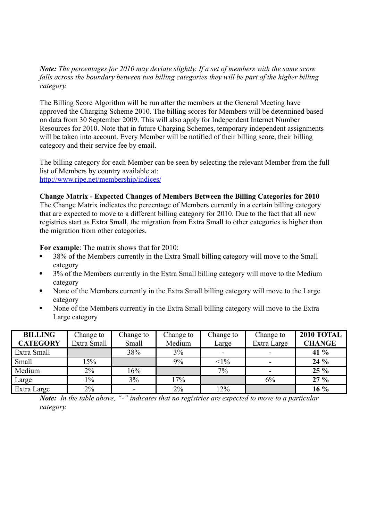*Note: The percentages for 2010 may deviate slightly. If a set of members with the same score falls across the boundary between two billing categories they will be part of the higher billing category.*

The Billing Score Algorithm will be run after the members at the General Meeting have approved the Charging Scheme 2010. The billing scores for Members will be determined based on data from 30 September 2009. This will also apply for Independent Internet Number Resources for 2010. Note that in future Charging Schemes, temporary independent assignments will be taken into account. Every Member will be notified of their billing score, their billing category and their service fee by email.

The billing category for each Member can be seen by selecting the relevant Member from the full list of Members by country available at: <http://www.ripe.net/membership/indices/>

**Change Matrix - Expected Changes of Members Between the Billing Categories for 2010** The Change Matrix indicates the percentage of Members currently in a certain billing category

that are expected to move to a different billing category for 2010. Due to the fact that all new registries start as Extra Small, the migration from Extra Small to other categories is higher than the migration from other categories.

**For example**: The matrix shows that for 2010:

- 38% of the Members currently in the Extra Small billing category will move to the Small category
- 3% of the Members currently in the Extra Small billing category will move to the Medium category
- None of the Members currently in the Extra Small billing category will move to the Large category
- None of the Members currently in the Extra Small billing category will move to the Extra Large category

| <b>BILLING</b>  | Change to   | Change to    | Change to | Change to | Change to   | <b>2010 TOTAL</b> |
|-----------------|-------------|--------------|-----------|-----------|-------------|-------------------|
| <b>CATEGORY</b> | Extra Small | <b>Small</b> | Medium    | Large     | Extra Large | <b>CHANGE</b>     |
| Extra Small     |             | 38%          | 3%        |           |             | 41 %              |
| Small           | $15\%$      |              | 9%        | $<1\%$    |             | 24%               |
| Medium          | $2\%$       | 16%          |           | 7%        |             | 25 %              |
| Large           | $1\%$       | 3%           | 17%       |           | 6%          | 27 %              |
| Extra Large     | $2\%$       |              | $2\%$     | 12%       |             | 16 %              |

*Note: In the table above, "-" indicates that no registries are expected to move to a particular category.*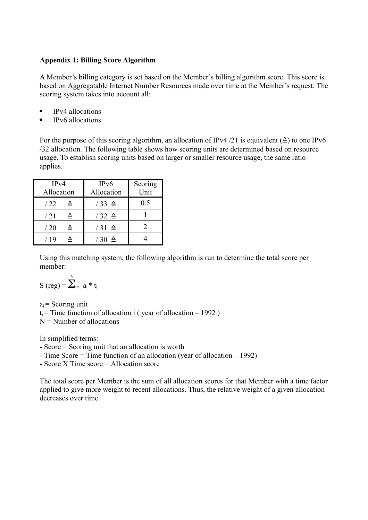#### **Appendix 1: Billing Score Algorithm**

A Member's billing category is set based on the Member's billing algorithm score. This score is based on Aggregatable Internet Number Resources made over time at the Member's request. The scoring system takes into account all:

- IPv4 allocations
- IPv6 allocations

For the purpose of this scoring algorithm, an allocation of IPv4 /21 is equivalent  $(2)$  to one IPv6 /32 allocation. The following table shows how scoring units are determined based on resource usage. To establish scoring units based on larger or smaller resource usage, the same ratio applies.

| IPv4<br>Allocation | IPv6<br>Allocation | Scoring<br>Unit |  |
|--------------------|--------------------|-----------------|--|
| /22                | $/33 \triangleq$   | 0.5             |  |
| /21                | $/32 \triangleq$   |                 |  |
| /20                | $/31 \triangleq$   |                 |  |
| / 19               | $/30 \triangleq$   |                 |  |

Using this matching system, the following algorithm is run to determine the total score per member:

$$
S\ (reg) = \overset{\mathrm{N}}{\sum}_{i=1}^{N} \, a_i \, ^\ast \, t_i
$$

 $a_i$  = Scoring unit  $t_i$  = Time function of allocation i ( year of allocation – 1992 )  $N =$  Number of allocations

In simplified terms:

- Score = Scoring unit that an allocation is worth

- Time Score = Time function of an allocation (year of allocation – 1992)

- Score X Time score = Allocation score

The total score per Member is the sum of all allocation scores for that Member with a time factor applied to give more weight to recent allocations. Thus, the relative weight of a given allocation decreases over time.